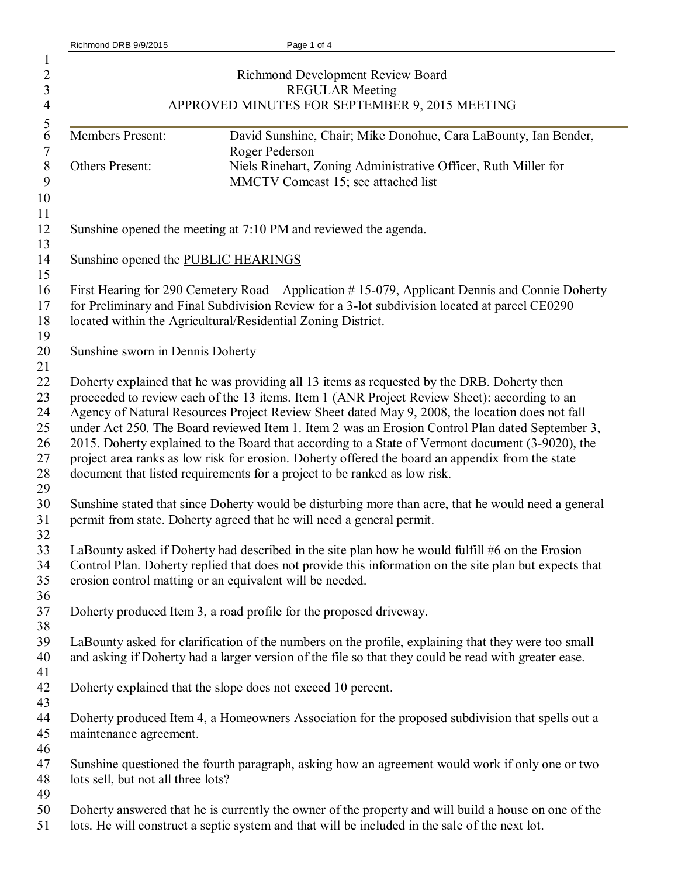|  | Richmond DRB 9/9/2015 |
|--|-----------------------|
|  |                       |

|                                     | Richmond Development Review Board<br><b>REGULAR Meeting</b><br>APPROVED MINUTES FOR SEPTEMBER 9, 2015 MEETING                                                                                                                                                                                                                                                                                                                                                                                                                                                                                           |
|-------------------------------------|---------------------------------------------------------------------------------------------------------------------------------------------------------------------------------------------------------------------------------------------------------------------------------------------------------------------------------------------------------------------------------------------------------------------------------------------------------------------------------------------------------------------------------------------------------------------------------------------------------|
| Members Present:                    | David Sunshine, Chair; Mike Donohue, Cara LaBounty, Ian Bender,                                                                                                                                                                                                                                                                                                                                                                                                                                                                                                                                         |
| Others Present:                     | Roger Pederson<br>Niels Rinehart, Zoning Administrative Officer, Ruth Miller for<br>MMCTV Comcast 15; see attached list                                                                                                                                                                                                                                                                                                                                                                                                                                                                                 |
|                                     |                                                                                                                                                                                                                                                                                                                                                                                                                                                                                                                                                                                                         |
|                                     | Sunshine opened the meeting at 7:10 PM and reviewed the agenda.                                                                                                                                                                                                                                                                                                                                                                                                                                                                                                                                         |
| Sunshine opened the PUBLIC HEARINGS |                                                                                                                                                                                                                                                                                                                                                                                                                                                                                                                                                                                                         |
|                                     | First Hearing for 290 Cemetery Road – Application #15-079, Applicant Dennis and Connie Doherty<br>for Preliminary and Final Subdivision Review for a 3-lot subdivision located at parcel CE0290<br>located within the Agricultural/Residential Zoning District.                                                                                                                                                                                                                                                                                                                                         |
| Sunshine sworn in Dennis Doherty    |                                                                                                                                                                                                                                                                                                                                                                                                                                                                                                                                                                                                         |
|                                     | Doherty explained that he was providing all 13 items as requested by the DRB. Doherty then<br>proceeded to review each of the 13 items. Item 1 (ANR Project Review Sheet): according to an<br>Agency of Natural Resources Project Review Sheet dated May 9, 2008, the location does not fall<br>under Act 250. The Board reviewed Item 1. Item 2 was an Erosion Control Plan dated September 3,<br>2015. Doherty explained to the Board that according to a State of Vermont document (3-9020), the<br>project area ranks as low risk for erosion. Doherty offered the board an appendix from the state |
|                                     | document that listed requirements for a project to be ranked as low risk.<br>Sunshine stated that since Doherty would be disturbing more than acre, that he would need a general                                                                                                                                                                                                                                                                                                                                                                                                                        |
|                                     | permit from state. Doherty agreed that he will need a general permit.                                                                                                                                                                                                                                                                                                                                                                                                                                                                                                                                   |
|                                     | LaBounty asked if Doherty had described in the site plan how he would fulfill #6 on the Erosion<br>Control Plan. Doherty replied that does not provide this information on the site plan but expects that<br>erosion control matting or an equivalent will be needed.                                                                                                                                                                                                                                                                                                                                   |
|                                     | Doherty produced Item 3, a road profile for the proposed driveway.                                                                                                                                                                                                                                                                                                                                                                                                                                                                                                                                      |
|                                     | LaBounty asked for clarification of the numbers on the profile, explaining that they were too small<br>and asking if Doherty had a larger version of the file so that they could be read with greater ease.                                                                                                                                                                                                                                                                                                                                                                                             |
|                                     | Doherty explained that the slope does not exceed 10 percent.                                                                                                                                                                                                                                                                                                                                                                                                                                                                                                                                            |
| maintenance agreement.              | Doherty produced Item 4, a Homeowners Association for the proposed subdivision that spells out a                                                                                                                                                                                                                                                                                                                                                                                                                                                                                                        |
| lots sell, but not all three lots?  | Sunshine questioned the fourth paragraph, asking how an agreement would work if only one or two                                                                                                                                                                                                                                                                                                                                                                                                                                                                                                         |
|                                     | Doherty answered that he is currently the owner of the property and will build a house on one of the<br>lots. He will construct a septic system and that will be included in the sale of the next lot.                                                                                                                                                                                                                                                                                                                                                                                                  |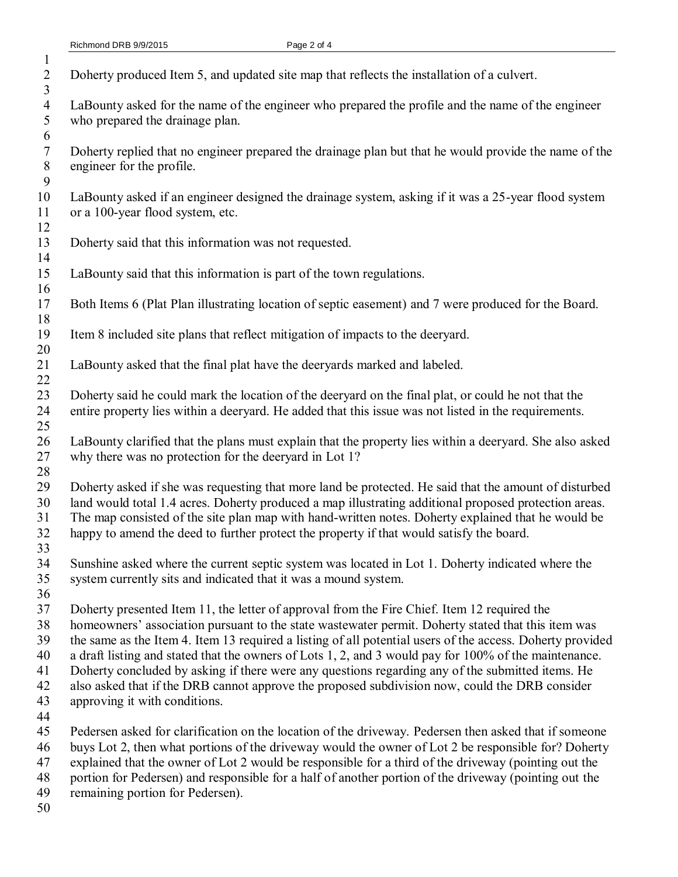| Doherty produced Item 5, and updated site map that reflects the installation of a culvert.                |
|-----------------------------------------------------------------------------------------------------------|
|                                                                                                           |
| LaBounty asked for the name of the engineer who prepared the profile and the name of the engineer         |
| who prepared the drainage plan.                                                                           |
|                                                                                                           |
| Doherty replied that no engineer prepared the drainage plan but that he would provide the name of the     |
| engineer for the profile.                                                                                 |
|                                                                                                           |
| LaBounty asked if an engineer designed the drainage system, asking if it was a 25-year flood system       |
| or a 100-year flood system, etc.                                                                          |
|                                                                                                           |
| Doherty said that this information was not requested.                                                     |
|                                                                                                           |
| LaBounty said that this information is part of the town regulations.                                      |
| Both Items 6 (Plat Plan illustrating location of septic easement) and 7 were produced for the Board.      |
|                                                                                                           |
| Item 8 included site plans that reflect mitigation of impacts to the deeryard.                            |
|                                                                                                           |
| LaBounty asked that the final plat have the deeryards marked and labeled.                                 |
|                                                                                                           |
| Doherty said he could mark the location of the deeryard on the final plat, or could he not that the       |
| entire property lies within a deeryard. He added that this issue was not listed in the requirements.      |
|                                                                                                           |
| LaBounty clarified that the plans must explain that the property lies within a deeryard. She also asked   |
| why there was no protection for the deeryard in Lot 1?                                                    |
|                                                                                                           |
| Doherty asked if she was requesting that more land be protected. He said that the amount of disturbed     |
| land would total 1.4 acres. Doherty produced a map illustrating additional proposed protection areas.     |
| The map consisted of the site plan map with hand-written notes. Doherty explained that he would be        |
| happy to amend the deed to further protect the property if that would satisfy the board.                  |
|                                                                                                           |
| Sunshine asked where the current septic system was located in Lot 1. Doherty indicated where the          |
| system currently sits and indicated that it was a mound system.                                           |
| Doherty presented Item 11, the letter of approval from the Fire Chief. Item 12 required the               |
| homeowners' association pursuant to the state wastewater permit. Doherty stated that this item was        |
| the same as the Item 4. Item 13 required a listing of all potential users of the access. Doherty provided |
| a draft listing and stated that the owners of Lots 1, 2, and 3 would pay for 100% of the maintenance.     |
| Doherty concluded by asking if there were any questions regarding any of the submitted items. He          |
| also asked that if the DRB cannot approve the proposed subdivision now, could the DRB consider            |
| approving it with conditions.                                                                             |
|                                                                                                           |
| Pedersen asked for clarification on the location of the driveway. Pedersen then asked that if someone     |
| buys Lot 2, then what portions of the driveway would the owner of Lot 2 be responsible for? Doherty       |
| explained that the owner of Lot 2 would be responsible for a third of the driveway (pointing out the      |
| portion for Pedersen) and responsible for a half of another portion of the driveway (pointing out the     |
| remaining portion for Pedersen).                                                                          |
|                                                                                                           |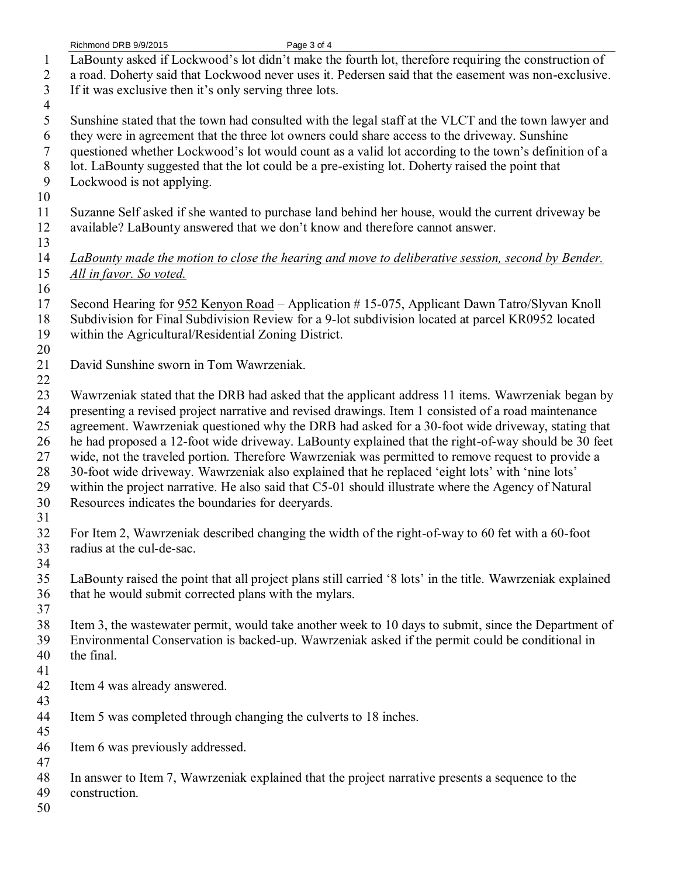Richmond DRB 9/9/2015 Page 3 of 4 LaBounty asked if Lockwood's lot didn't make the fourth lot, therefore requiring the construction of a road. Doherty said that Lockwood never uses it. Pedersen said that the easement was non-exclusive. If it was exclusive then it's only serving three lots. Sunshine stated that the town had consulted with the legal staff at the VLCT and the town lawyer and they were in agreement that the three lot owners could share access to the driveway. Sunshine questioned whether Lockwood's lot would count as a valid lot according to the town's definition of a lot. LaBounty suggested that the lot could be a pre-existing lot. Doherty raised the point that Lockwood is not applying. Suzanne Self asked if she wanted to purchase land behind her house, would the current driveway be available? LaBounty answered that we don't know and therefore cannot answer. *LaBounty made the motion to close the hearing and move to deliberative session, second by Bender. All in favor. So voted.* Second Hearing for 952 Kenyon Road – Application # 15-075, Applicant Dawn Tatro/Slyvan Knoll Subdivision for Final Subdivision Review for a 9-lot subdivision located at parcel KR0952 located within the Agricultural/Residential Zoning District. David Sunshine sworn in Tom Wawrzeniak. Wawrzeniak stated that the DRB had asked that the applicant address 11 items. Wawrzeniak began by presenting a revised project narrative and revised drawings. Item 1 consisted of a road maintenance agreement. Wawrzeniak questioned why the DRB had asked for a 30-foot wide driveway, stating that he had proposed a 12-foot wide driveway. LaBounty explained that the right-of-way should be 30 feet wide, not the traveled portion. Therefore Wawrzeniak was permitted to remove request to provide a 30-foot wide driveway. Wawrzeniak also explained that he replaced 'eight lots' with 'nine lots' within the project narrative. He also said that C5-01 should illustrate where the Agency of Natural Resources indicates the boundaries for deeryards. For Item 2, Wawrzeniak described changing the width of the right-of-way to 60 fet with a 60-foot radius at the cul-de-sac. LaBounty raised the point that all project plans still carried '8 lots' in the title. Wawrzeniak explained that he would submit corrected plans with the mylars. Item 3, the wastewater permit, would take another week to 10 days to submit, since the Department of Environmental Conservation is backed-up. Wawrzeniak asked if the permit could be conditional in the final. Item 4 was already answered. Item 5 was completed through changing the culverts to 18 inches. Item 6 was previously addressed. In answer to Item 7, Wawrzeniak explained that the project narrative presents a sequence to the construction.